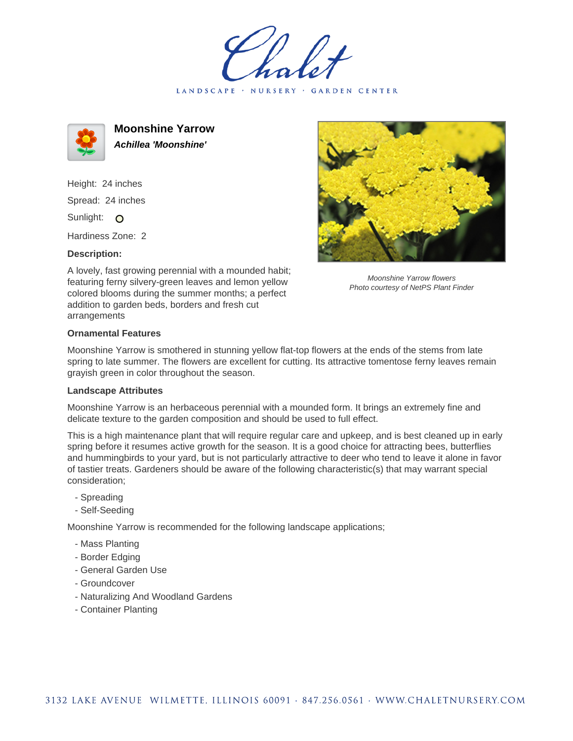LANDSCAPE · NURSERY · GARDEN CENTER



**Moonshine Yarrow Achillea 'Moonshine'**

Height: 24 inches Spread: 24 inches Sunlight: O

Hardiness Zone: 2

## **Description:**

A lovely, fast growing perennial with a mounded habit; featuring ferny silvery-green leaves and lemon yellow colored blooms during the summer months; a perfect addition to garden beds, borders and fresh cut arrangements



Moonshine Yarrow flowers Photo courtesy of NetPS Plant Finder

## **Ornamental Features**

Moonshine Yarrow is smothered in stunning yellow flat-top flowers at the ends of the stems from late spring to late summer. The flowers are excellent for cutting. Its attractive tomentose ferny leaves remain grayish green in color throughout the season.

## **Landscape Attributes**

Moonshine Yarrow is an herbaceous perennial with a mounded form. It brings an extremely fine and delicate texture to the garden composition and should be used to full effect.

This is a high maintenance plant that will require regular care and upkeep, and is best cleaned up in early spring before it resumes active growth for the season. It is a good choice for attracting bees, butterflies and hummingbirds to your yard, but is not particularly attractive to deer who tend to leave it alone in favor of tastier treats. Gardeners should be aware of the following characteristic(s) that may warrant special consideration;

- Spreading
- Self-Seeding

Moonshine Yarrow is recommended for the following landscape applications;

- Mass Planting
- Border Edging
- General Garden Use
- Groundcover
- Naturalizing And Woodland Gardens
- Container Planting